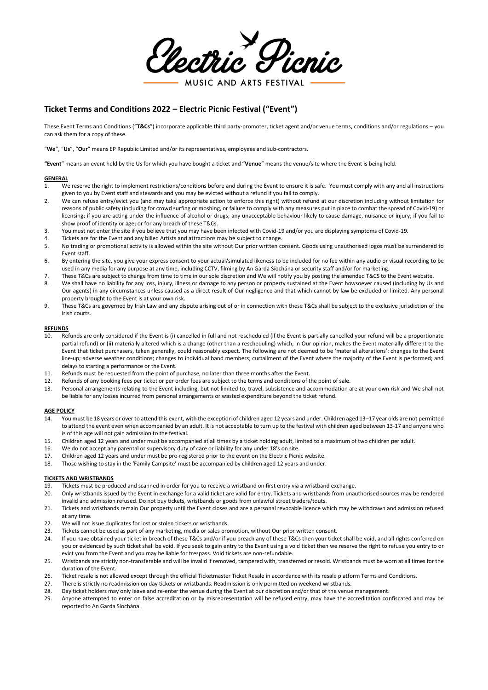Vectric Picnic MUSIC AND ARTS FESTIVAL

# **Ticket Terms and Conditions 2022 – Electric Picnic Festival ("Event")**

These Event Terms and Conditions ("**T&Cs**") incorporate applicable third party-promoter, ticket agent and/or venue terms, conditions and/or regulations – you can ask them for a copy of these.

"**We**", "**Us**", "**Our**" means EP Republic Limited and/or its representatives, employees and sub-contractors.

**"Event**" means an event held by the Us for which you have bought a ticket and "**Venue**" means the venue/site where the Event is being held.

### **GENERAL**

- 1. We reserve the right to implement restrictions/conditions before and during the Event to ensure it is safe. You must comply with any and all instructions given to you by Event staff and stewards and you may be evicted without a refund if you fail to comply.
- 2. We can refuse entry/evict you (and may take appropriate action to enforce this right) without refund at our discretion including without limitation for reasons of public safety (including for crowd surfing or moshing, or failure to comply with any measures put in place to combat the spread of Covid-19) or licensing; if you are acting under the influence of alcohol or drugs; any unacceptable behaviour likely to cause damage, nuisance or injury; if you fail to show proof of identity or age; or for any breach of these T&Cs.
- 3. You must not enter the site if you believe that you may have been infected with Covid-19 and/or you are displaying symptoms of Covid-19.
- 4. Tickets are for the Event and any billed Artists and attractions may be subject to change.<br>5. No trading or promotional activity is allowed within the site without Our prior written c
- 5. No trading or promotional activity is allowed within the site without Our prior written consent. Goods using unauthorised logos must be surrendered to Event staff.
- 6. By entering the site, you give your express consent to your actual/simulated likeness to be included for no fee within any audio or visual recording to be used in any media for any purpose at any time, including CCTV, filming by An Garda Síochána or security staff and/or for marketing.
- 7. These T&Cs are subject to change from time to time in our sole discretion and We will notify you by posting the amended T&CS to the Event website.
- 8. We shall have no liability for any loss, injury, illness or damage to any person or property sustained at the Event howsoever caused (including by Us and Our agents) in any circumstances unless caused as a direct result of Our negligence and that which cannot by law be excluded or limited. Any personal property brought to the Event is at your own risk.
- 9. These T&Cs are governed by Irish Law and any dispute arising out of or in connection with these T&Cs shall be subject to the exclusive jurisdiction of the Irish courts.

#### **REFUNDS**

- 10. Refunds are only considered if the Event is (i) cancelled in full and not rescheduled (if the Event is partially cancelled your refund will be a proportionate partial refund) or (ii) materially altered which is a change (other than a rescheduling) which, in Our opinion, makes the Event materially different to the Event that ticket purchasers, taken generally, could reasonably expect. The following are not deemed to be 'material alterations': changes to the Event line-up; adverse weather conditions; changes to individual band members; curtailment of the Event where the majority of the Event is performed; and delays to starting a performance or the Event.
- 11. Refunds must be requested from the point of purchase, no later than three months after the Event.
- 12. Refunds of any booking fees per ticket or per order fees are subject to the terms and conditions of the point of sale.
- 13. Personal arrangements relating to the Event including, but not limited to, travel, subsistence and accommodation are at your own risk and We shall not be liable for any losses incurred from personal arrangements or wasted expenditure beyond the ticket refund.

#### **AGE POLICY**

- 14. You must be 18 years or over to attend this event, with the exception of children aged 12 years and under. Children aged 13–17 year olds are not permitted to attend the event even when accompanied by an adult. It is not acceptable to turn up to the festival with children aged between 13-17 and anyone who is of this age will not gain admission to the festival.
- 15. Children aged 12 years and under must be accompanied at all times by a ticket holding adult, limited to a maximum of two children per adult.
- 16. We do not accept any parental or supervisory duty of care or liability for any under 18's on site.
- 17. Children aged 12 years and under must be pre-registered prior to the event on the Electric Picnic website.
- 18. Those wishing to stay in the 'Family Campsite' must be accompanied by children aged 12 years and under.

#### **TICKETS AND WRISTBANDS**

- 19. Tickets must be produced and scanned in order for you to receive a wristband on first entry via a wristband exchange.
- 20. Only wristbands issued by the Event in exchange for a valid ticket are valid for entry. Tickets and wristbands from unauthorised sources may be rendered invalid and admission refused. Do not buy tickets, wristbands or goods from unlawful street traders/touts.
- 21. Tickets and wristbands remain Our property until the Event closes and are a personal revocable licence which may be withdrawn and admission refused at any time.
- 22. We will not issue duplicates for lost or stolen tickets or wristbands.
- 23. Tickets cannot be used as part of any marketing, media or sales promotion, without Our prior written consent.
- 24. If you have obtained your ticket in breach of these T&Cs and/or if you breach any of these T&Cs then your ticket shall be void, and all rights conferred on you or evidenced by such ticket shall be void. If you seek to gain entry to the Event using a void ticket then we reserve the right to refuse you entry to or evict you from the Event and you may be liable for trespass. Void tickets are non-refundable.
- 25. Wristbands are strictly non-transferable and will be invalid if removed, tampered with, transferred or resold. Wristbands must be worn at all times for the duration of the Event.
- 26. Ticket resale is not allowed except through the official Ticketmaster Ticket Resale in accordance with its resale platform Terms and Conditions.
- 27. There is strictly no readmission on day tickets or wristbands. Readmission is only permitted on weekend wristbands.
- 28. Day ticket holders may only leave and re-enter the venue during the Event at our discretion and/or that of the venue management.<br>29. Anyone attempted to enter on false accreditation or by misrepresentation will be refu
- 29. Anyone attempted to enter on false accreditation or by misrepresentation will be refused entry, may have the accreditation confiscated and may be reported to An Garda Síochána.